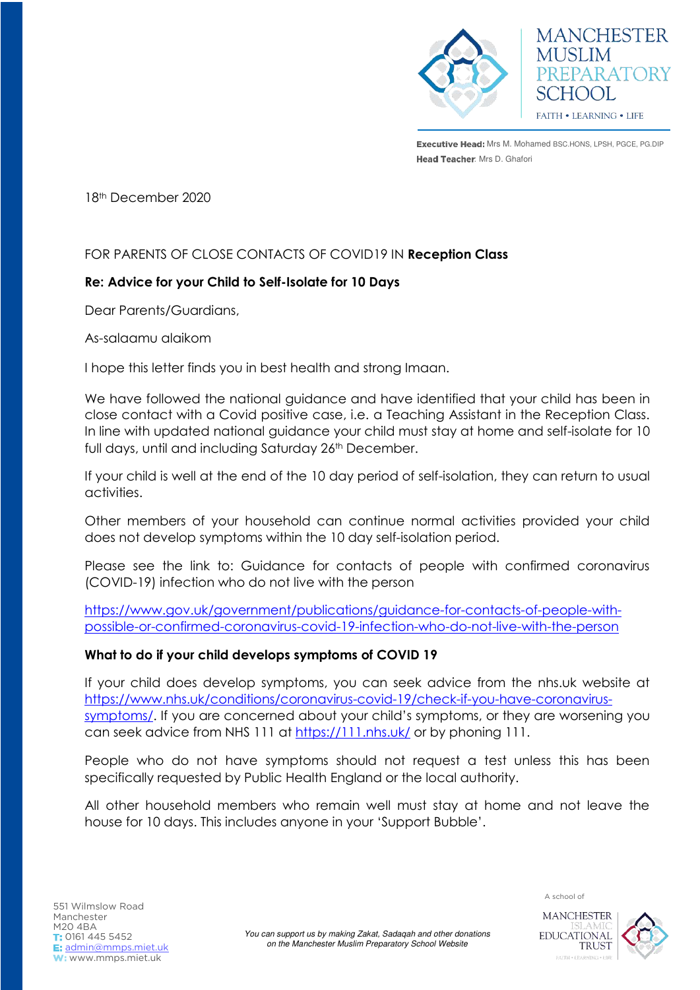

Executive Head: Mrs M. Mohamed BSC.HONS, LPSH, PGCE, PG.DIP Head Teacher: Mrs D. Ghafori

**MANCHESTER** 

PREPARATORY

**MUSLIM** 

SCHOOL

FAITH . LEARNING . LIFE

18th December 2020

# FOR PARENTS OF CLOSE CONTACTS OF COVID19 IN **Reception Class**

### **Re: Advice for your Child to Self-Isolate for 10 Days**

Dear Parents/Guardians,

As-salaamu alaikom

I hope this letter finds you in best health and strong Imaan.

We have followed the national guidance and have identified that your child has been in close contact with a Covid positive case, i.e. a Teaching Assistant in the Reception Class. In line with updated national guidance your child must stay at home and self-isolate for 10 full days, until and including Saturday 26<sup>th</sup> December.

If your child is well at the end of the 10 day period of self-isolation, they can return to usual activities.

Other members of your household can continue normal activities provided your child does not develop symptoms within the 10 day self-isolation period.

Please see the link to: Guidance for contacts of people with confirmed coronavirus (COVID-19) infection who do not live with the person

[https://www.gov.uk/government/publications/guidance-for-contacts-of-people-with](https://www.gov.uk/government/publications/guidance-for-contacts-of-people-with-possible-or-confirmed-coronavirus-covid-19-infection-who-do-not-live-with-the-person)[possible-or-confirmed-coronavirus-covid-19-infection-who-do-not-live-with-the-person](https://www.gov.uk/government/publications/guidance-for-contacts-of-people-with-possible-or-confirmed-coronavirus-covid-19-infection-who-do-not-live-with-the-person) 

#### **What to do if your child develops symptoms of COVID 19**

If your child does develop symptoms, you can seek advice from the nhs.uk website at [https://www.nhs.uk/conditions/coronavirus-covid-19/check-if-you-have-coronavirus](https://www.nhs.uk/conditions/coronavirus-covid-19/check-if-you-have-coronavirus-symptoms/)[symptoms/](https://www.nhs.uk/conditions/coronavirus-covid-19/check-if-you-have-coronavirus-symptoms/). If you are concerned about your child's symptoms, or they are worsening you can seek advice from NHS 111 at<https://111.nhs.uk/>or by phoning 111.

People who do not have symptoms should not request a test unless this has been specifically requested by Public Health England or the local authority.

All other household members who remain well must stay at home and not leave the house for 10 days. This includes anyone in your 'Support Bubble'.

**MANCHESTER EDUCATIONAL TRUST**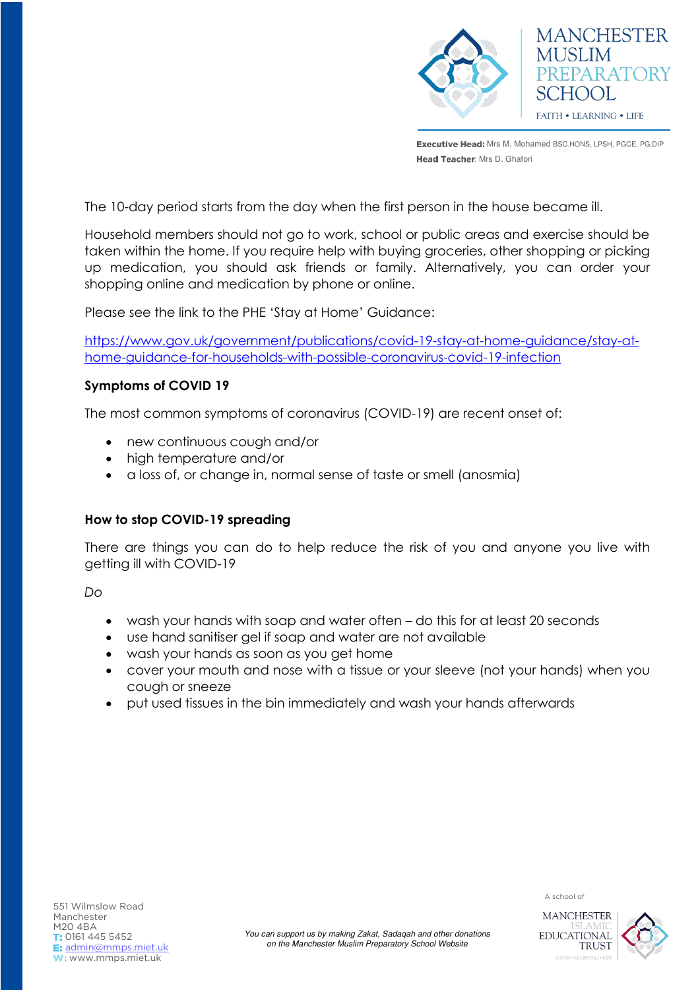

Executive Head: Mrs M. Mohamed BSC.HONS, LPSH, PGCE, PG.DIP Head Teacher: Mrs D. Ghafori

The 10-day period starts from the day when the first person in the house became ill.

Household members should not go to work, school or public areas and exercise should be taken within the home. If you require help with buying groceries, other shopping or picking up medication, you should ask friends or family. Alternatively, you can order your shopping online and medication by phone or online.

Please see the link to the PHE 'Stay at Home' Guidance:

[https://www.gov.uk/government/publications/covid-19-stay-at-home-guidance/stay-at](https://www.gov.uk/government/publications/covid-19-stay-at-home-guidance/stay-at-home-guidance-for-households-with-possible-coronavirus-covid-19-infection)[home-guidance-for-households-with-possible-coronavirus-covid-19-infection](https://www.gov.uk/government/publications/covid-19-stay-at-home-guidance/stay-at-home-guidance-for-households-with-possible-coronavirus-covid-19-infection)

### **Symptoms of COVID 19**

The most common symptoms of coronavirus (COVID-19) are recent onset of:

- new continuous cough and/or
- high temperature and/or
- a loss of, or change in, normal sense of taste or smell (anosmia)

# **How to stop COVID-19 spreading**

There are things you can do to help reduce the risk of you and anyone you live with getting ill with COVID-19

*Do*

- wash your hands with soap and water often do this for at least 20 seconds
- use hand sanitiser gel if soap and water are not available
- wash your hands as soon as you get home
- cover your mouth and nose with a tissue or your sleeve (not your hands) when you cough or sneeze
- put used tissues in the bin immediately and wash your hands afterwards



A school of